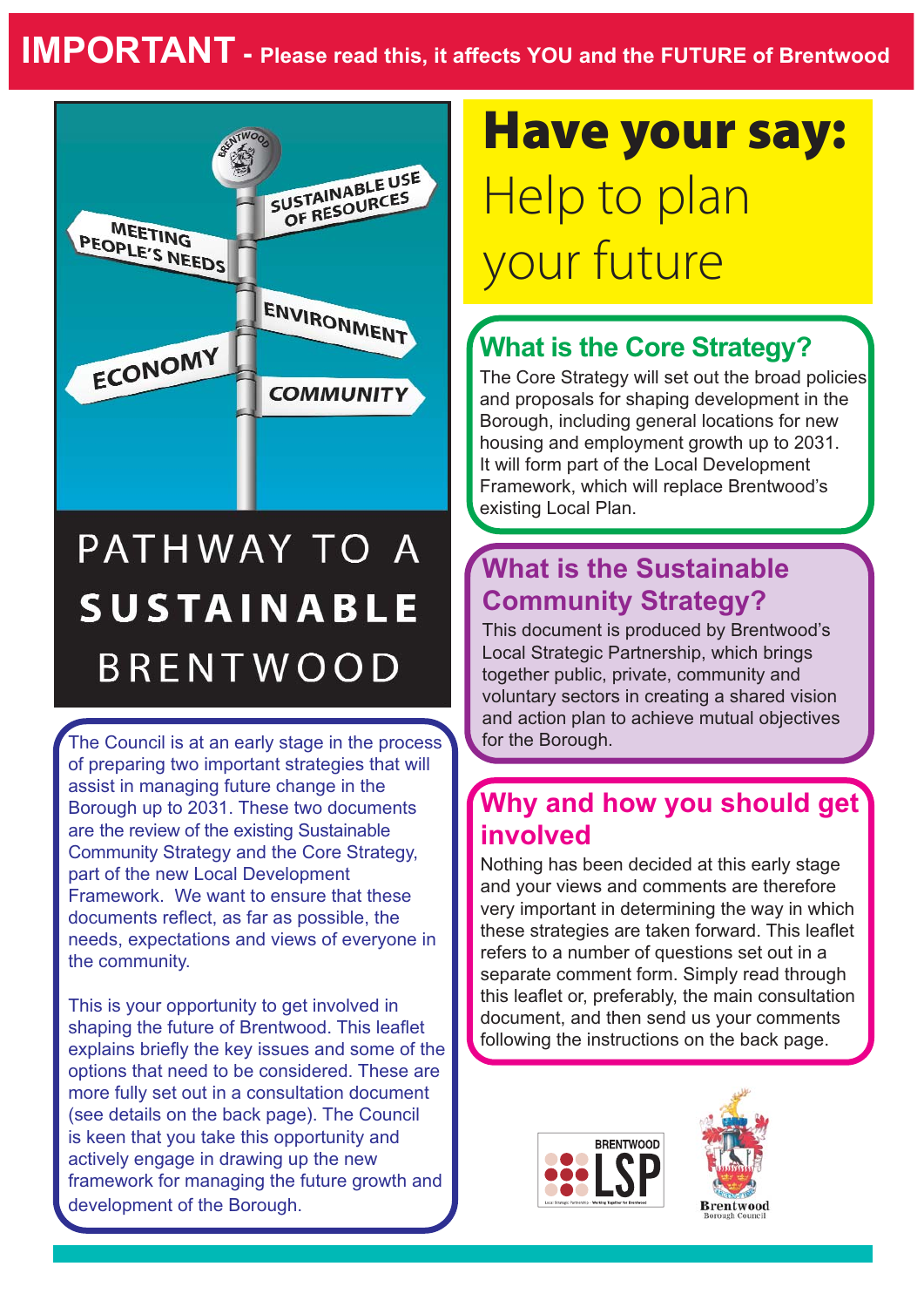

# PATHWAY TO A **SUSTAINABLE BRENTWOOD**

The Council is at an early stage in the process of preparing two important strategies that will assist in managing future change in the Borough up to 2031. These two documents are the review of the existing Sustainable Community Strategy and the Core Strategy, part of the new Local Development Framework. We want to ensure that these documents reflect, as far as possible, the needs, expectations and views of everyone in the community.

This is your opportunity to get involved in shaping the future of Brentwood. This leaflet explains briefly the key issues and some of the options that need to be considered. These are more fully set out in a consultation document (see details on the back page). The Council is keen that you take this opportunity and actively engage in drawing up the new framework for managing the future growth and development of the Borough.

# **Have your say:** Help to plan your future

## **What is the Core Strategy?**

The Core Strategy will set out the broad policies and proposals for shaping development in the Borough, including general locations for new housing and employment growth up to 2031. It will form part of the Local Development Framework, which will replace Brentwood's existing Local Plan.

### **What is the Sustainable Community Strategy?**

This document is produced by Brentwood's Local Strategic Partnership, which brings together public, private, community and voluntary sectors in creating a shared vision and action plan to achieve mutual objectives for the Borough.

### **Why and how you should get involved**

Nothing has been decided at this early stage and your views and comments are therefore very important in determining the way in which these strategies are taken forward. This leaflet refers to a number of questions set out in a separate comment form. Simply read through this leaflet or, preferably, the main consultation document, and then send us your comments following the instructions on the back page.



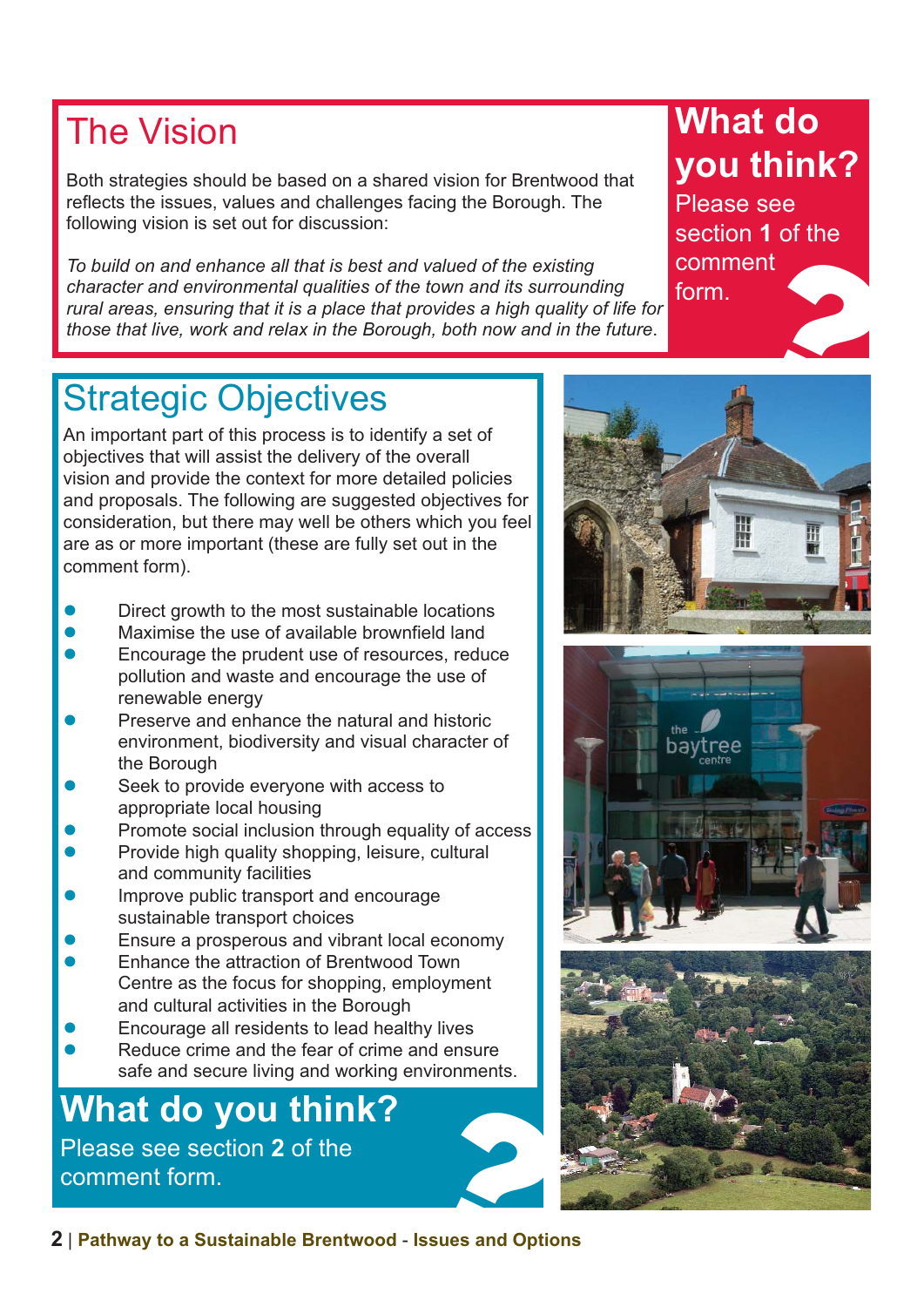## The Vision

Both strategies should be based on a shared vision for Brentwood that reflects the issues, values and challenges facing the Borough. The following vision is set out for discussion:

*To build on and enhance all that is best and valued of the existing character and environmental qualities of the town and its surrounding rural areas, ensuring that it is a place that provides a high quality of life for those that live, work and relax in the Borough, both now and in the future*.

# **What do you think?**

Please see section **1** of the comment form. ent<br>
and the contract of the contract of the contract of the contract of the contract of the contract of the contract of the contract of the contract of the contract of the contract of the contract of the contract of the c

## Strategic Objectives

An important part of this process is to identify a set of objectives that will assist the delivery of the overall vision and provide the context for more detailed policies and proposals. The following are suggested objectives for consideration, but there may well be others which you feel are as or more important (these are fully set out in the comment form).

- Direct growth to the most sustainable locations
- l Maximise the use of available brownfield land
- Encourage the prudent use of resources, reduce pollution and waste and encourage the use of renewable energy
- Preserve and enhance the natural and historic environment, biodiversity and visual character of the Borough
- Seek to provide everyone with access to appropriate local housing
- Promote social inclusion through equality of access
- Provide high quality shopping, leisure, cultural and community facilities
- Improve public transport and encourage sustainable transport choices
- Ensure a prosperous and vibrant local economy
- l Enhance the attraction of Brentwood Town Centre as the focus for shopping, employment and cultural activities in the Borough
- Encourage all residents to lead healthy lives
- Reduce crime and the fear of crime and ensure safe and secure living and working environments.

# **What do you think?**<br>
Please see section 2 of the<br>
comment form.<br>
<br> **Please and Option Area Sustainable Brentwood - Issues and Option** Please see section **2** of the





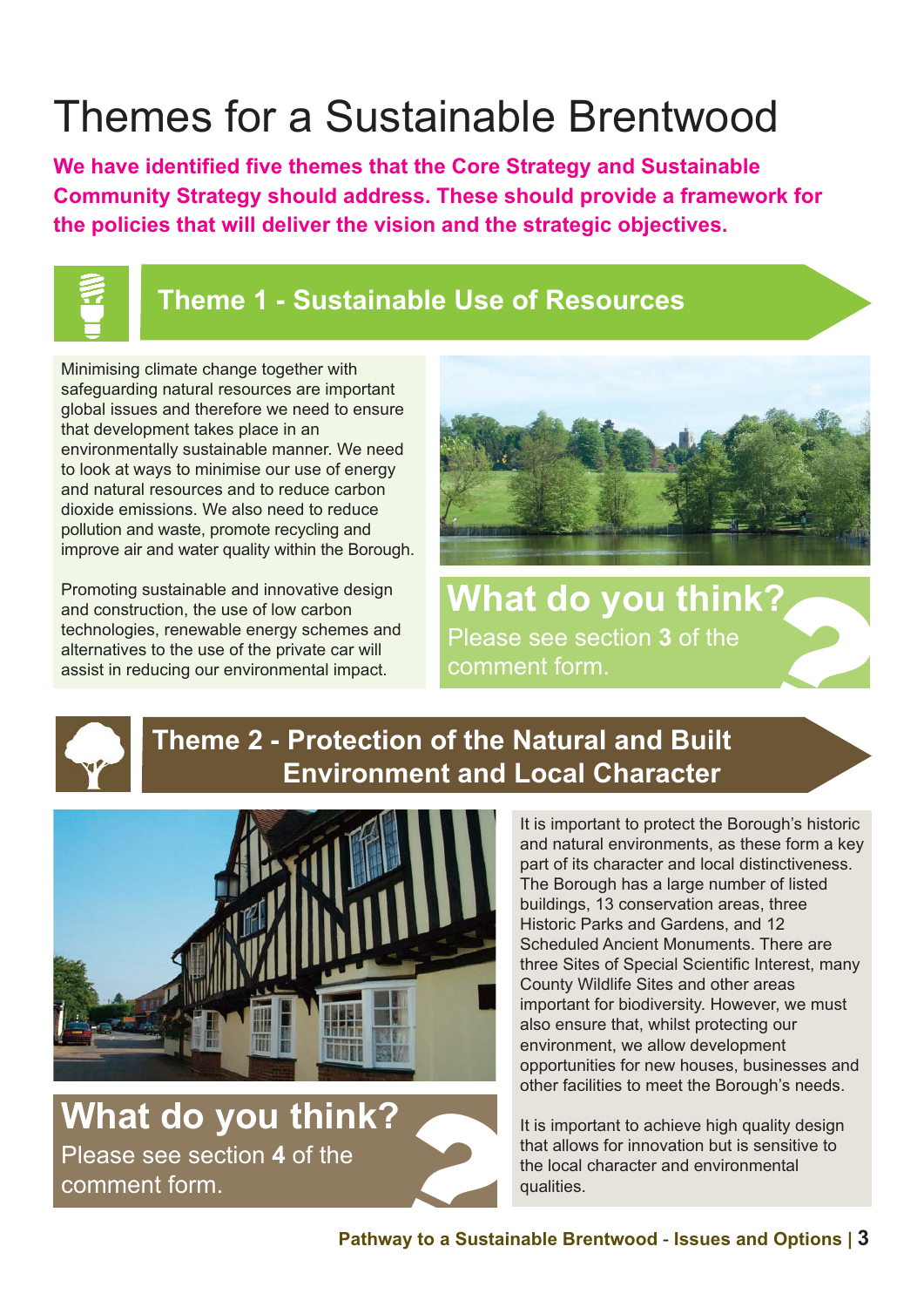# Themes for a Sustainable Brentwood

**We have identified five themes that the Core Strategy and Sustainable Community Strategy should address. These should provide a framework for the policies that will deliver the vision and the strategic objectives.**



#### **Theme 1 - Sustainable Use of Resources**

Minimising climate change together with safeguarding natural resources are important global issues and therefore we need to ensure that development takes place in an environmentally sustainable manner. We need to look at ways to minimise our use of energy and natural resources and to reduce carbon dioxide emissions. We also need to reduce pollution and waste, promote recycling and improve air and water quality within the Borough.

Promoting sustainable and innovative design and construction, the use of low carbon technologies, renewable energy schemes and alternatives to the use of the private car will assist in reducing our environmental impact.



**What do you think?**<br>
Please see section 3 of the<br>
comment form.<br> **f** the Netural and Built Please see section **3** of the



#### **Theme 2 - Protection of the Natural and Built Environment and Local Character**



**What do you think?**  Please see section **4** of the comment form.

It is important to protect the Borough's historic and natural environments, as these form a key part of its character and local distinctiveness. The Borough has a large number of listed buildings, 13 conservation areas, three Historic Parks and Gardens, and 12 Scheduled Ancient Monuments. There are three Sites of Special Scientific Interest, many County Wildlife Sites and other areas important for biodiversity. However, we must also ensure that, whilst protecting our environment, we allow development opportunities for new houses, businesses and other facilities to meet the Borough's needs.

It is important to achieve high quality design that allows for innovation but is sensitive to the local character and environmental qualities.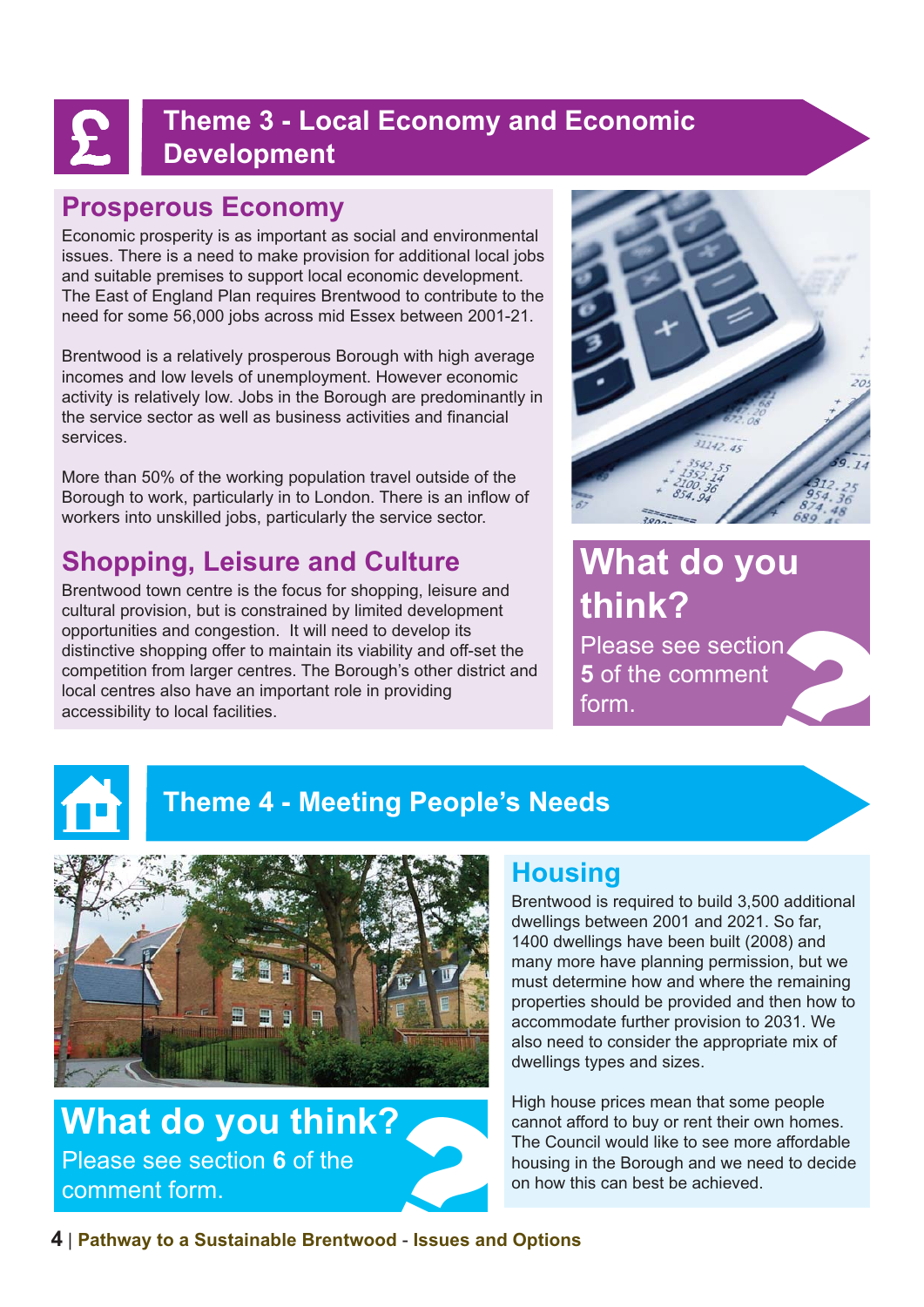### **Theme 3 - Local Economy and Economic Development**

#### **Prosperous Economy**

Economic prosperity is as important as social and environmental issues. There is a need to make provision for additional local jobs and suitable premises to support local economic development. The East of England Plan requires Brentwood to contribute to the need for some 56,000 jobs across mid Essex between 2001-21.

Brentwood is a relatively prosperous Borough with high average incomes and low levels of unemployment. However economic activity is relatively low. Jobs in the Borough are predominantly in the service sector as well as business activities and financial services.

More than 50% of the working population travel outside of the Borough to work, particularly in to London. There is an inflow of workers into unskilled jobs, particularly the service sector.

## **Shopping, Leisure and Culture**

Brentwood town centre is the focus for shopping, leisure and cultural provision, but is constrained by limited development opportunities and congestion. It will need to develop its distinctive shopping offer to maintain its viability and off-set the competition from larger centres. The Borough's other district and local centres also have an important role in providing accessibility to local facilities.



## **What do you think?**

Please see section. **5** of the comment Please see section<br>5 of the comment<br>form.



## **Theme 4 - Meeting People's Needs**



**What do you think?**<br>
Please see section 6 of the<br> **Cound the Countries Control** on how thin<br>
<br> **Pathway to a Sustainable Brentwood - Issues and Options** Please see section **6** of the comment form.

#### **Housing**

Brentwood is required to build 3,500 additional dwellings between 2001 and 2021. So far, 1400 dwellings have been built (2008) and many more have planning permission, but we must determine how and where the remaining properties should be provided and then how to accommodate further provision to 2031. We also need to consider the appropriate mix of dwellings types and sizes.

High house prices mean that some people cannot afford to buy or rent their own homes. The Council would like to see more affordable housing in the Borough and we need to decide on how this can best be achieved.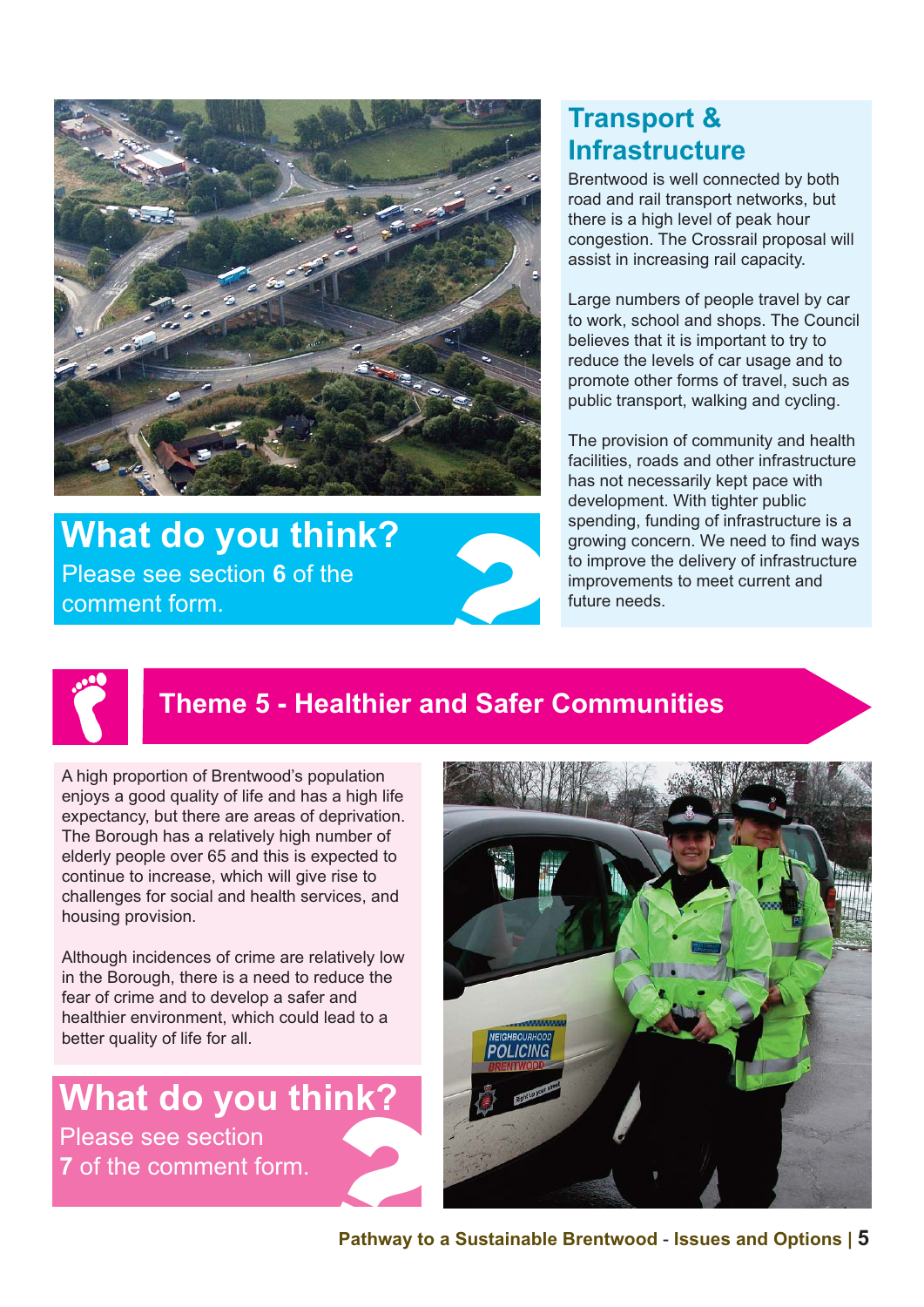

# **What do you think?**<br>
Please see section 6 of the<br>
comment form. Please see section **6** of the

#### **Transport & Infrastructure**

Brentwood is well connected by both road and rail transport networks, but there is a high level of peak hour congestion. The Crossrail proposal will assist in increasing rail capacity.

Large numbers of people travel by car to work, school and shops. The Council believes that it is important to try to reduce the levels of car usage and to promote other forms of travel, such as public transport, walking and cycling.

The provision of community and health facilities, roads and other infrastructure has not necessarily kept pace with development. With tighter public spending, funding of infrastructure is a growing concern. We need to find ways to improve the delivery of infrastructure improvements to meet current and future needs.



## **Theme 5 - Healthier and Safer Communities**

A high proportion of Brentwood's population enjoys a good quality of life and has a high life expectancy, but there are areas of deprivation. The Borough has a relatively high number of elderly people over 65 and this is expected to continue to increase, which will give rise to challenges for social and health services, and housing provision.

Although incidences of crime are relatively low in the Borough, there is a need to reduce the fear of crime and to develop a safer and healthier environment, which could lead to a better quality of life for all.

**What do you think?**  Please see section

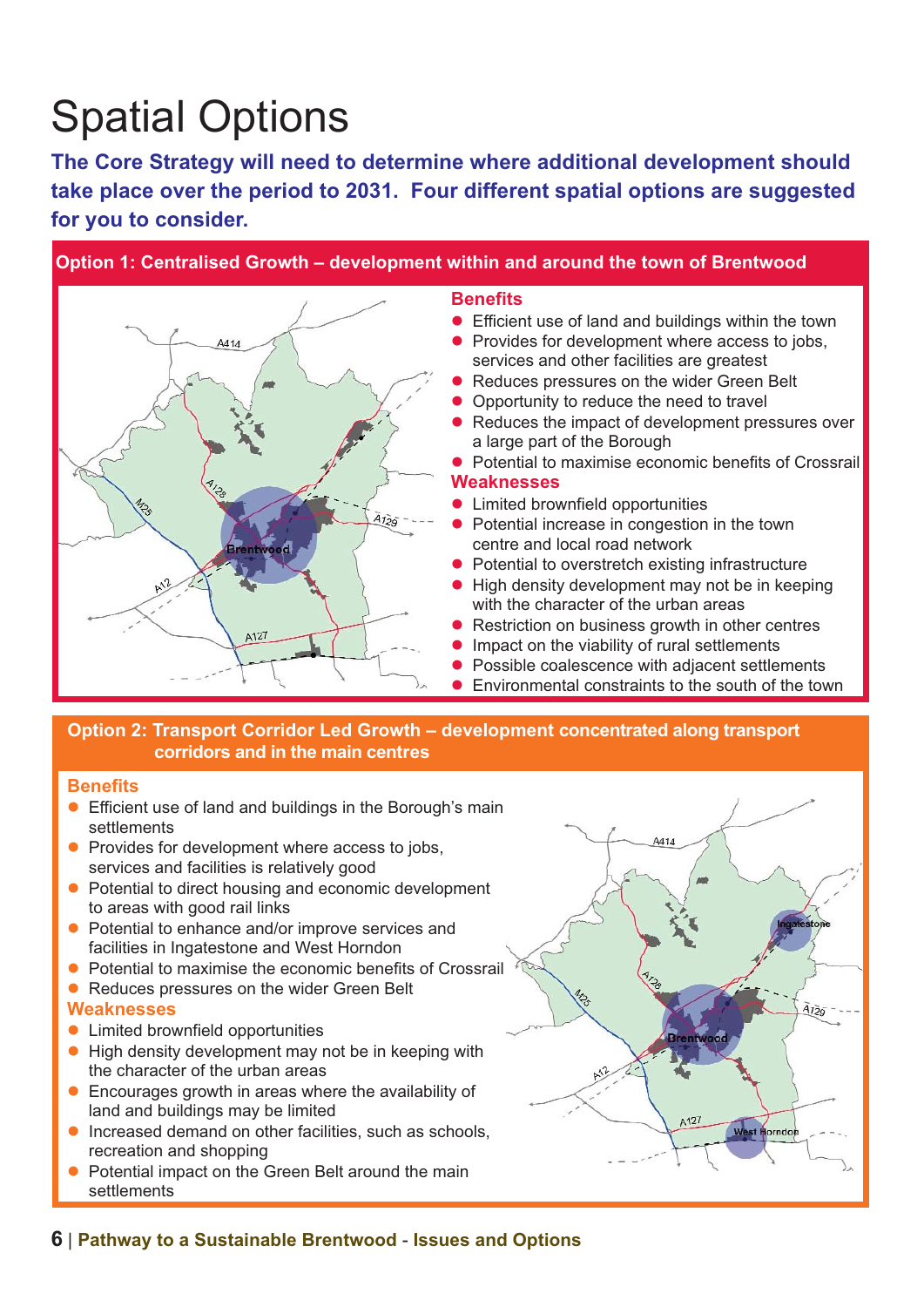# Spatial Options

**The Core Strategy will need to determine where additional development should take place over the period to 2031. Four different spatial options are suggested for you to consider.** 



#### **Option 2: Transport Corridor Led Growth – development concentrated along transport corridors and in the main centres**

#### **Benefits**

- **Efficient use of land and buildings in the Borough's main** settlements
- $\bullet$  Provides for development where access to jobs, services and facilities is relatively good
- Potential to direct housing and economic development to areas with good rail links
- Potential to enhance and/or improve services and facilities in Ingatestone and West Horndon
- l Potential to maximise the economic benefits of Crossrail
- Reduces pressures on the wider Green Belt **Weaknesses**
- **•** Limited brownfield opportunities
- $\bullet$  High density development may not be in keeping with the character of the urban areas
- $\bullet$  Encourages growth in areas where the availability of land and buildings may be limited
- $\bullet$  Increased demand on other facilities, such as schools, recreation and shopping
- Potential impact on the Green Belt around the main settlements

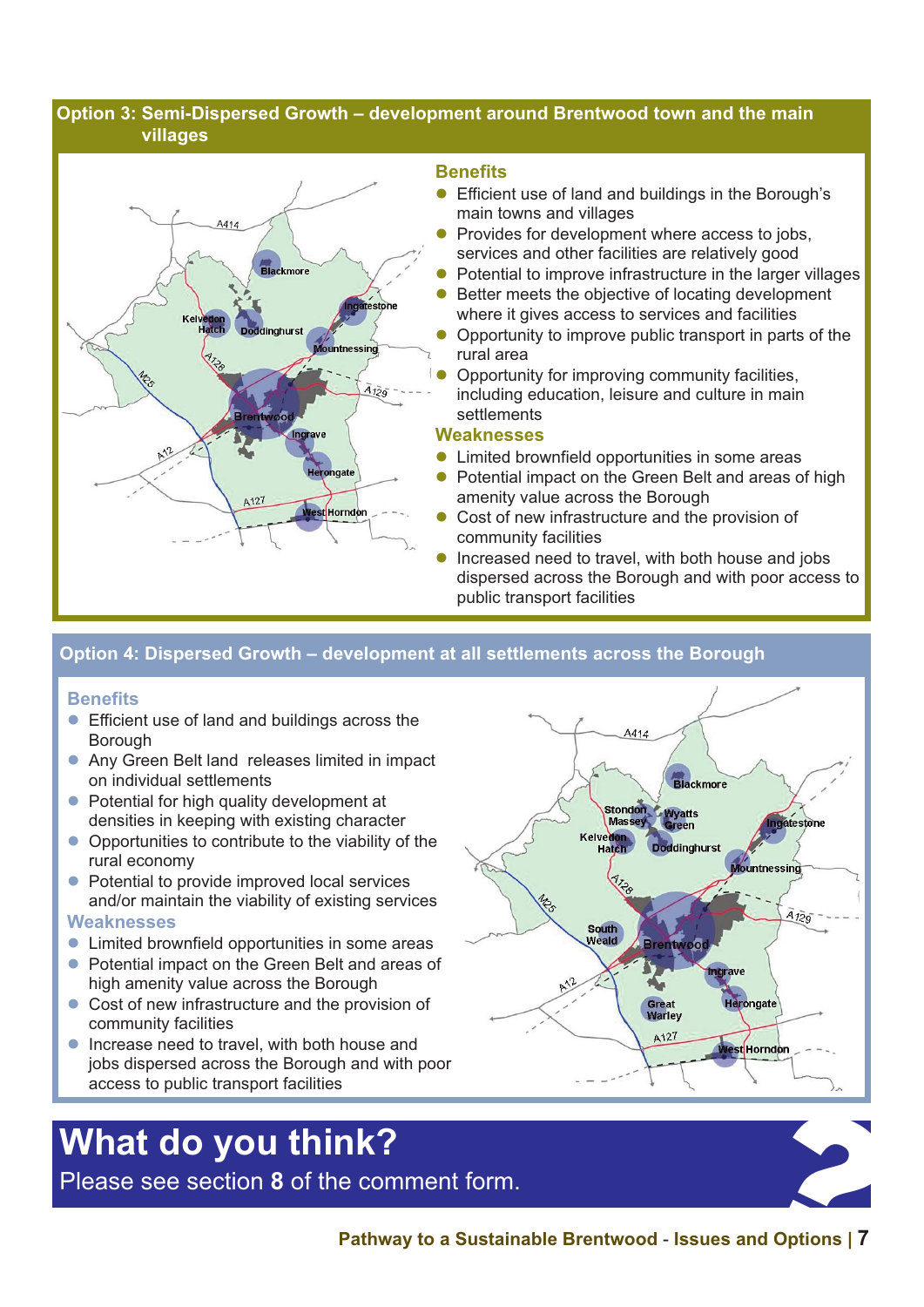#### **Option 3: Semi-Dispersed Growth – development around Brentwood town and the main villages**



#### **Benefits**

- **Efficient use of land and buildings in the Borough's** main towns and villages
- **Provides for development where access to jobs.** services and other facilities are relatively good
- Potential to improve infrastructure in the larger villages
- Better meets the objective of locating development where it gives access to services and facilities
- Opportunity to improve public transport in parts of the rural area
- **Opportunity for improving community facilities,** including education, leisure and culture in main settlements

#### **Weaknesses**

- Limited brownfield opportunities in some areas
- Potential impact on the Green Belt and areas of high amenity value across the Borough
- Cost of new infrastructure and the provision of community facilities
- Increased need to travel, with both house and jobs dispersed across the Borough and with poor access to public transport facilities

#### **Option 4: Dispersed Growth – development at all settlements across the Borough**

#### **Benefits**

- **Efficient use of land and buildings across the Borough**
- **Any Green Belt land releases limited in impact** on individual settlements
- Potential for high quality development at densities in keeping with existing character
- $\bullet$  Opportunities to contribute to the viability of the rural economy
- Potential to provide improved local services and/or maintain the viability of existing services

#### **Weaknesses**

- **Limited brownfield opportunities in some areas**
- **Potential impact on the Green Belt and areas of** high amenity value across the Borough
- $\bullet$  Cost of new infrastructure and the provision of community facilities
- Increase need to travel, with both house and jobs dispersed across the Borough and with poor access to public transport facilities

# **What do you think?**  What do you think?<br>Please see section 8 of the comment form.<br>Pathway to a Sustainable Brentwood - Issues and Options | 7